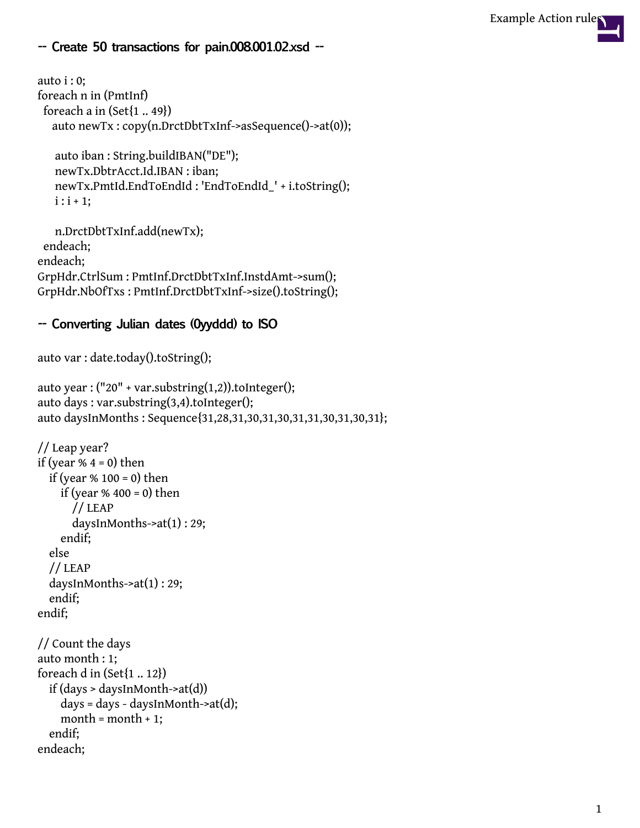## **-- Create 50 transactions for pain.008.001.02.xsd --**

```
auto i : 0:
foreach n in (PmtInf)
 foreach a in (Set{1.. 49})auto newTx : copy(n.DrctDbtTxInf->asSequence()->at(0));
```

```
auto iban : String.buildIBAN("DE");
newTx.DbtrAcct.Id.IBAN : iban;
newTx.PmtId.EndToEndId : 'EndToEndId_' + i.toString();
i : i + 1;
```

```
n.DrctDbtTxInf.add(newTx);
endeach;
endeach;
GrpHdr.CtrlSum : PmtInf.DrctDbtTxInf.InstdAmt->sum();
GrpHdr.NbOfTxs : PmtInf.DrctDbtTxInf->size().toString();
```
## **-- Converting Julian dates (0yyddd) to ISO**

```
auto var : date.today().toString();
```

```
auto year : ("20" + var.substring(1,2)).tolnteger();auto days : var.substring(3,4).toInteger();
auto daysInMonths : Sequence{31,28,31,30,31,30,31,31,30,31,30,31};
```

```
// Leap year?
if (year % 4 = 0) then
  if (year % 100 = 0) then
    if (year % 400 = 0) then
      // LEAP
      daysInMonths->at(1) : 29;
    endif;
  else
  // LEAP
  daysInMonths->at(1) : 29;
  endif;
endif;
// Count the days
auto month : 1;
foreach d in (Set{1 .. 12})
  if (days > daysInMonth->at(d))
    days = days - daysInMonth->at(d);
```

```
month = month + 1;
```

```
endif;
endeach;
```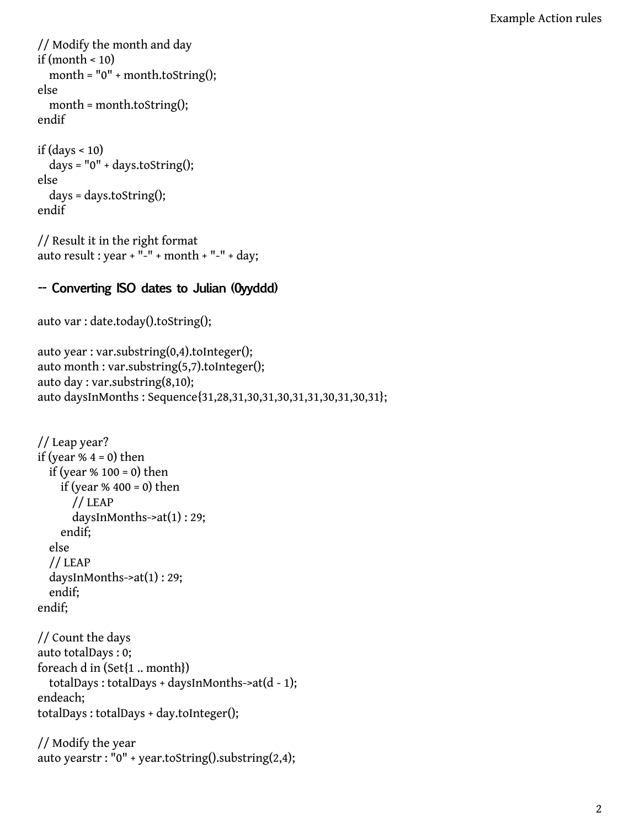// Modify the month and day if (month < 10) month =  $"0" + month.toString();$ else month = month.toString(); endif

```
if (days < 10)days = "0" + days.toString();
else
  days = days.toString();
endif
```

```
// Result it in the right format
auto result : year + "-" + month + "-" + day;
```
## **-- Converting ISO dates to Julian (0yyddd)**

```
auto var : date.today().toString();
```

```
auto year : var.substring(0,4).toInteger();
auto month : var.substring(5,7).toInteger();
auto day : var.substring(8,10);
auto daysInMonths : Sequence{31,28,31,30,31,30,31,31,30,31,30,31};
```

```
// Leap year?
if (year % 4 = 0) then
  if (year % 100 = 0) then
    if (year % 400 = 0) then
      // LEAP
      daysInMonths->at(1) : 29;
    endif;
  else
  // LEAP
  daysInMonths->at(1) : 29;
  endif;
endif;
```

```
// Count the days
auto totalDays : 0;
foreach d in (Set{1 .. month})
  totalDays: totalDays + daysInMonths->at(d - 1);
endeach;
totalDays : totalDays + day.toInteger();
```

```
// Modify the year
auto yearstr : "0" + year.toString().substring(2,4);
```